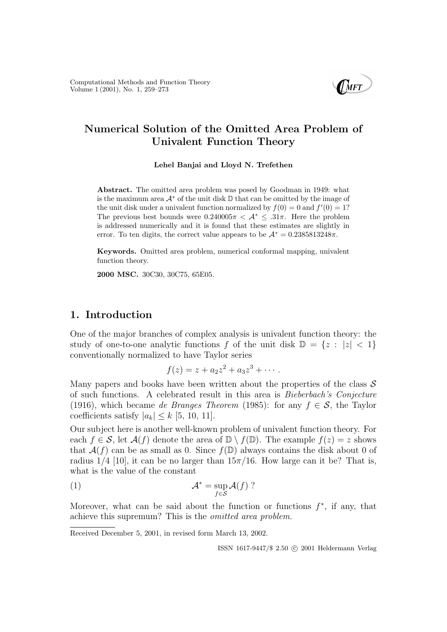

# Numerical Solution of the Omitted Area Problem of Univalent Function Theory

Lehel Banjai and Lloyd N. Trefethen

Abstract. The omitted area problem was posed by Goodman in 1949: what is the maximum area  $\mathcal{A}^*$  of the unit disk D that can be omitted by the image of the unit disk under a univalent function normalized by  $f(0) = 0$  and  $f'(0) = 1$ ? The previous best bounds were  $0.240005\pi < \mathcal{A}^* \leq .31\pi$ . Here the problem is addressed numerically and it is found that these estimates are slightly in error. To ten digits, the correct value appears to be  $A^* = 0.2385813248\pi$ .

Keywords. Omitted area problem, numerical conformal mapping, univalent function theory.

2000 MSC. 30C30, 30C75, 65E05.

### 1. Introduction

One of the major branches of complex analysis is univalent function theory: the study of one-to-one analytic functions f of the unit disk  $\mathbb{D} = \{z : |z| < 1\}$ conventionally normalized to have Taylor series

$$
f(z)=z+a_2z^2+a_3z^3+\cdots.
$$

Many papers and books have been written about the properties of the class  $\mathcal S$ of such functions. A celebrated result in this area is Bieberbach's Conjecture (1916), which became de Branges Theorem (1985): for any  $f \in \mathcal{S}$ , the Taylor coefficients satisfy  $|a_k| \leq k$  [5, 10, 11].

Our subject here is another well-known problem of univalent function theory. For each  $f \in \mathcal{S}$ , let  $\mathcal{A}(f)$  denote the area of  $\mathbb{D} \setminus f(\mathbb{D})$ . The example  $f(z) = z$  shows that  $A(f)$  can be as small as 0. Since  $f(\mathbb{D})$  always contains the disk about 0 of radius  $1/4$  [10], it can be no larger than  $15\pi/16$ . How large can it be? That is, what is the value of the constant

(1) 
$$
\mathcal{A}^* = \sup_{f \in \mathcal{S}} \mathcal{A}(f) ?
$$

Moreover, what can be said about the function or functions  $f^*$ , if any, that achieve this supremum? This is the omitted area problem.

Received December 5, 2001, in revised form March 13, 2002.

ISSN 1617-9447/\$ 2.50 © 2001 Heldermann Verlag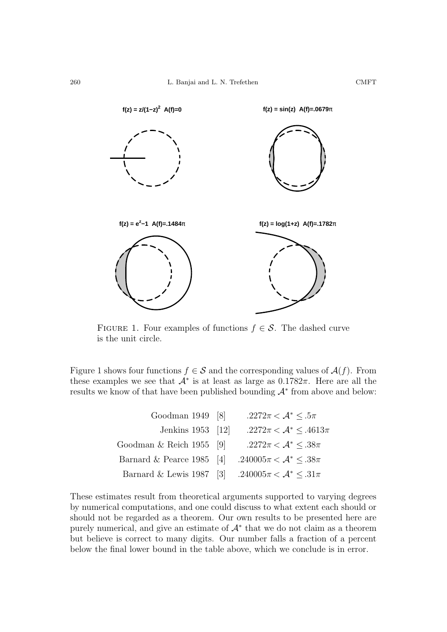

FIGURE 1. Four examples of functions  $f \in \mathcal{S}$ . The dashed curve is the unit circle.

Figure 1 shows four functions  $f \in \mathcal{S}$  and the corresponding values of  $\mathcal{A}(f)$ . From these examples we see that  $\mathcal{A}^*$  is at least as large as  $0.1782\pi$ . Here are all the results we know of that have been published bounding  $\mathcal{A}^*$  from above and below:

| Goodman $1949$ [8]          | $.2272\pi < \mathcal{A}^* \leq .5\pi$    |
|-----------------------------|------------------------------------------|
| Jenkins 1953 [12]           | $.2272\pi < \mathcal{A}^* \leq .4613\pi$ |
| Goodman $\&$ Reich 1955 [9] | $.2272\pi < \mathcal{A}^* \leq .38\pi$   |
| Barnard & Pearce 1985 [4]   | $.240005\pi < \mathcal{A}^* \leq .38\pi$ |
| Barnard & Lewis 1987 [3]    | $.240005\pi < \mathcal{A}^* \leq .31\pi$ |
|                             |                                          |

These estimates result from theoretical arguments supported to varying degrees by numerical computations, and one could discuss to what extent each should or should not be regarded as a theorem. Our own results to be presented here are purely numerical, and give an estimate of  $\mathcal{A}^*$  that we do not claim as a theorem but believe is correct to many digits. Our number falls a fraction of a percent below the final lower bound in the table above, which we conclude is in error.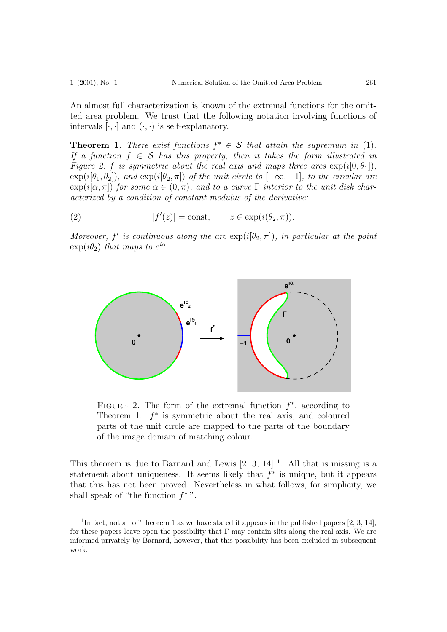An almost full characterization is known of the extremal functions for the omitted area problem. We trust that the following notation involving functions of intervals  $[\cdot, \cdot]$  and  $(\cdot, \cdot)$  is self-explanatory.

**Theorem 1.** There exist functions  $f^* \in S$  that attain the supremum in (1). If a function  $f \in \mathcal{S}$  has this property, then it takes the form illustrated in Figure 2: f is symmetric about the real axis and maps three arcs  $\exp(i[0,\theta_1]),$  $\exp(i[\theta_1, \theta_2])$ , and  $\exp(i[\theta_2, \pi])$  of the unit circle to  $[-\infty, -1]$ , to the circular arc  $\exp(i[\alpha, \pi])$  for some  $\alpha \in (0, \pi)$ , and to a curve  $\Gamma$  interior to the unit disk characterized by a condition of constant modulus of the derivative:

 $(2)$  |  $f$  $\mathcal{C}(z)| = \text{const}, \qquad z \in \exp(i(\theta_2, \pi)).$ 

Moreover,  $f'$  is continuous along the arc  $\exp(i[\theta_2, \pi])$ , in particular at the point  $\exp(i\theta_2)$  that maps to  $e^{i\alpha}$ .



FIGURE 2. The form of the extremal function  $f^*$ , according to Theorem 1.  $f^*$  is symmetric about the real axis, and coloured parts of the unit circle are mapped to the parts of the boundary of the image domain of matching colour.

This theorem is due to Barnard and Lewis  $[2, 3, 14]$ <sup>1</sup>. All that is missing is a statement about uniqueness. It seems likely that  $f^*$  is unique, but it appears that this has not been proved. Nevertheless in what follows, for simplicity, we shall speak of "the function  $f^*$ ".

<sup>&</sup>lt;sup>1</sup>In fact, not all of Theorem 1 as we have stated it appears in the published papers  $[2, 3, 14]$ , for these papers leave open the possibility that  $\Gamma$  may contain slits along the real axis. We are informed privately by Barnard, however, that this possibility has been excluded in subsequent work.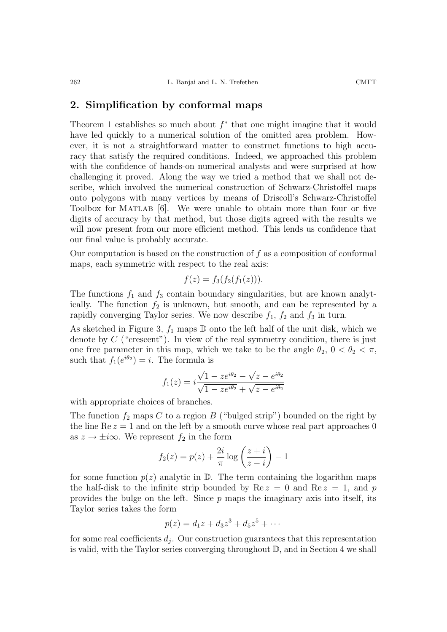Theorem 1 establishes so much about  $f^*$  that one might imagine that it would have led quickly to a numerical solution of the omitted area problem. However, it is not a straightforward matter to construct functions to high accuracy that satisfy the required conditions. Indeed, we approached this problem with the confidence of hands-on numerical analysts and were surprised at how challenging it proved. Along the way we tried a method that we shall not describe, which involved the numerical construction of Schwarz-Christoffel maps onto polygons with many vertices by means of Driscoll's Schwarz-Christoffel Toolbox for MATLAB [6]. We were unable to obtain more than four or five digits of accuracy by that method, but those digits agreed with the results we will now present from our more efficient method. This lends us confidence that our final value is probably accurate.

Our computation is based on the construction of  $f$  as a composition of conformal maps, each symmetric with respect to the real axis:

$$
f(z) = f_3(f_2(f_1(z))).
$$

The functions  $f_1$  and  $f_3$  contain boundary singularities, but are known analytically. The function  $f_2$  is unknown, but smooth, and can be represented by a rapidly converging Taylor series. We now describe  $f_1$ ,  $f_2$  and  $f_3$  in turn.

As sketched in Figure 3,  $f_1$  maps  $\mathbb D$  onto the left half of the unit disk, which we denote by  $C$  ("crescent"). In view of the real symmetry condition, there is just one free parameter in this map, which we take to be the angle  $\theta_2$ ,  $0 < \theta_2 < \pi$ , such that  $f_1(e^{i\theta_2}) = i$ . The formula is

$$
f_1(z) = i \frac{\sqrt{1 - ze^{i\theta_2}} - \sqrt{z - e^{i\theta_2}}}{\sqrt{1 - ze^{i\theta_2}} + \sqrt{z - e^{i\theta_2}}}
$$

with appropriate choices of branches.

The function  $f_2$  maps C to a region B ("bulged strip") bounded on the right by the line  $\text{Re } z = 1$  and on the left by a smooth curve whose real part approaches 0 as  $z \to \pm i\infty$ . We represent  $f_2$  in the form

$$
f_2(z) = p(z) + \frac{2i}{\pi} \log \left( \frac{z+i}{z-i} \right) - 1
$$

for some function  $p(z)$  analytic in  $\mathbb{D}$ . The term containing the logarithm maps the half-disk to the infinite strip bounded by  $\text{Re } z = 0$  and  $\text{Re } z = 1$ , and p provides the bulge on the left. Since  $p$  maps the imaginary axis into itself, its Taylor series takes the form

$$
p(z) = d_1 z + d_3 z^3 + d_5 z^5 + \cdots
$$

for some real coefficients  $d_j$ . Our construction guarantees that this representation is valid, with the Taylor series converging throughout  $\mathbb{D}$ , and in Section 4 we shall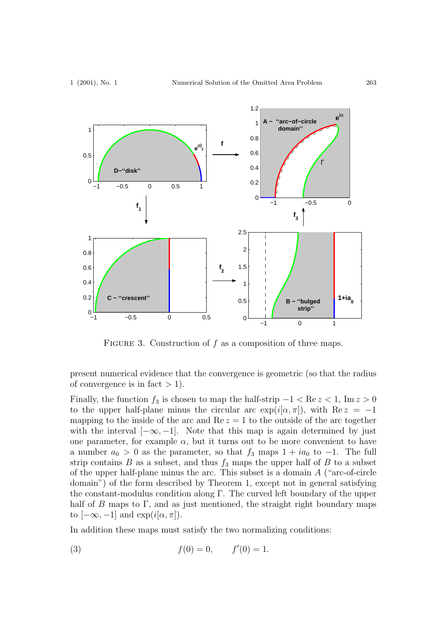

FIGURE 3. Construction of  $f$  as a composition of three maps.

present numerical evidence that the convergence is geometric (so that the radius of convergence is in fact  $> 1$ ).

Finally, the function  $f_3$  is chosen to map the half-strip  $-1 < \text{Re } z < 1$ , Im  $z > 0$ to the upper half-plane minus the circular arc  $\exp(i[\alpha, \pi])$ , with  $\text{Re } z = -1$ mapping to the inside of the arc and  $\text{Re } z = 1$  to the outside of the arc together with the interval  $[-\infty, -1]$ . Note that this map is again determined by just one parameter, for example  $\alpha$ , but it turns out to be more convenient to have a number  $a_0 > 0$  as the parameter, so that  $f_3$  maps  $1 + ia_0$  to  $-1$ . The full strip contains  $B$  as a subset, and thus  $f_3$  maps the upper half of  $B$  to a subset of the upper half-plane minus the arc. This subset is a domain A ("arc-of-circle domain") of the form described by Theorem 1, except not in general satisfying the constant-modulus condition along Γ. The curved left boundary of the upper half of B maps to  $\Gamma$ , and as just mentioned, the straight right boundary maps to  $[-\infty, -1]$  and  $\exp(i[\alpha, \pi])$ .

In addition these maps must satisfy the two normalizing conditions:

(3) 
$$
f(0) = 0
$$
,  $f'(0) = 1$ .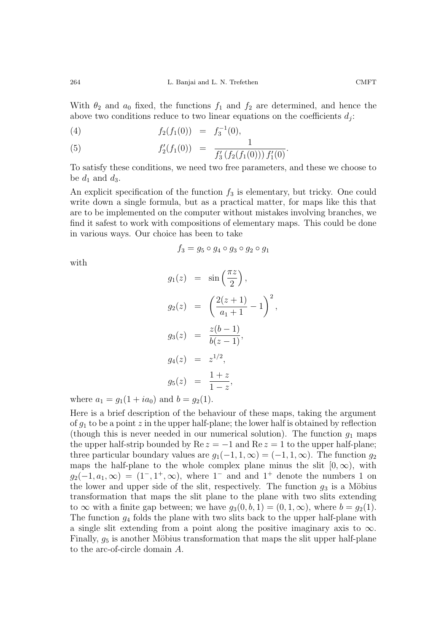With  $\theta_2$  and  $a_0$  fixed, the functions  $f_1$  and  $f_2$  are determined, and hence the above two conditions reduce to two linear equations on the coefficients  $d_j$ :

(4) 
$$
f_2(f_1(0)) = f_3^{-1}(0),
$$

(5) 
$$
f_2'(f_1(0)) = \frac{1}{f_3'(f_2(f_1(0))) f_1'(0)}.
$$

To satisfy these conditions, we need two free parameters, and these we choose to be  $d_1$  and  $d_3$ .

An explicit specification of the function  $f_3$  is elementary, but tricky. One could write down a single formula, but as a practical matter, for maps like this that are to be implemented on the computer without mistakes involving branches, we find it safest to work with compositions of elementary maps. This could be done in various ways. Our choice has been to take

$$
f_3 = g_5 \circ g_4 \circ g_3 \circ g_2 \circ g_1
$$

with

$$
g_1(z) = \sin\left(\frac{\pi z}{2}\right),
$$
  
\n
$$
g_2(z) = \left(\frac{2(z+1)}{a_1+1} - 1\right)^2,
$$
  
\n
$$
g_3(z) = \frac{z(b-1)}{b(z-1)},
$$
  
\n
$$
g_4(z) = z^{1/2},
$$
  
\n
$$
g_5(z) = \frac{1+z}{1-z},
$$

where  $a_1 = g_1(1 + ia_0)$  and  $b = g_2(1)$ .

Here is a brief description of the behaviour of these maps, taking the argument of  $g_1$  to be a point z in the upper half-plane; the lower half is obtained by reflection (though this is never needed in our numerical solution). The function  $g_1$  maps the upper half-strip bounded by  $\text{Re } z = -1$  and  $\text{Re } z = 1$  to the upper half-plane; three particular boundary values are  $g_1(-1, 1, \infty) = (-1, 1, \infty)$ . The function  $g_2$ maps the half-plane to the whole complex plane minus the slit  $[0, \infty)$ , with  $g_2(-1, a_1, \infty) = (1^-, 1^+, \infty)$ , where  $1^-$  and and  $1^+$  denote the numbers 1 on the lower and upper side of the slit, respectively. The function  $g_3$  is a Möbius transformation that maps the slit plane to the plane with two slits extending to  $\infty$  with a finite gap between; we have  $g_3(0, b, 1) = (0, 1, \infty)$ , where  $b = g_2(1)$ . The function  $q_4$  folds the plane with two slits back to the upper half-plane with a single slit extending from a point along the positive imaginary axis to  $\infty$ . Finally,  $g_5$  is another Möbius transformation that maps the slit upper half-plane to the arc-of-circle domain A.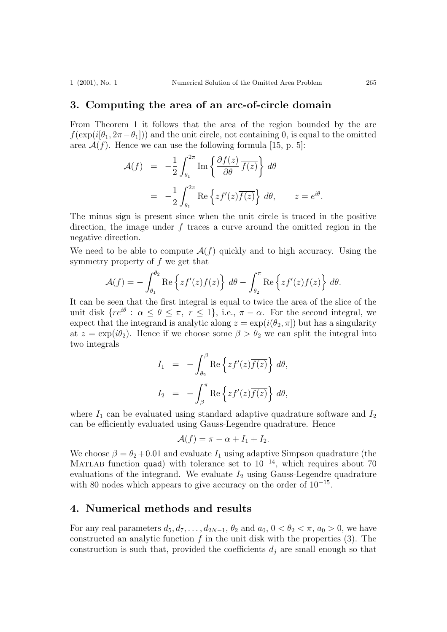#### 3. Computing the area of an arc-of-circle domain

From Theorem 1 it follows that the area of the region bounded by the arc  $f(\exp(i[\theta_1, 2\pi - \theta_1]))$  and the unit circle, not containing 0, is equal to the omitted area  $\mathcal{A}(f)$ . Hence we can use the following formula [15, p. 5]:

$$
\mathcal{A}(f) = -\frac{1}{2} \int_{\theta_1}^{2\pi} \text{Im} \left\{ \frac{\partial f(z)}{\partial \theta} \overline{f(z)} \right\} d\theta
$$
  
= 
$$
-\frac{1}{2} \int_{\theta_1}^{2\pi} \text{Re} \left\{ z f'(z) \overline{f(z)} \right\} d\theta, \qquad z = e^{i\theta}.
$$

The minus sign is present since when the unit circle is traced in the positive direction, the image under  $f$  traces a curve around the omitted region in the negative direction.

We need to be able to compute  $\mathcal{A}(f)$  quickly and to high accuracy. Using the symmetry property of  $f$  we get that

$$
\mathcal{A}(f) = -\int_{\theta_1}^{\theta_2} \text{Re}\left\{zf'(z)\overline{f(z)}\right\} d\theta - \int_{\theta_2}^{\pi} \text{Re}\left\{zf'(z)\overline{f(z)}\right\} d\theta.
$$

It can be seen that the first integral is equal to twice the area of the slice of the unit disk  $\{re^{i\theta}: \alpha \leq \theta \leq \pi, r \leq 1\}$ , i.e.,  $\pi - \alpha$ . For the second integral, we expect that the integrand is analytic along  $z = \exp(i(\theta_2, \pi))$  but has a singularity at  $z = \exp(i\theta_2)$ . Hence if we choose some  $\beta > \theta_2$  we can split the integral into two integrals

$$
I_1 = -\int_{\theta_2}^{\beta} \text{Re}\left\{zf'(z)\overline{f(z)}\right\} d\theta,
$$
  

$$
I_2 = -\int_{\beta}^{\pi} \text{Re}\left\{zf'(z)\overline{f(z)}\right\} d\theta,
$$

where  $I_1$  can be evaluated using standard adaptive quadrature software and  $I_2$ can be efficiently evaluated using Gauss-Legendre quadrature. Hence

$$
\mathcal{A}(f) = \pi - \alpha + I_1 + I_2.
$$

We choose  $\beta = \theta_2 + 0.01$  and evaluate  $I_1$  using adaptive Simpson quadrature (the MATLAB function quad) with tolerance set to  $10^{-14}$ , which requires about 70 evaluations of the integrand. We evaluate  $I_2$  using Gauss-Legendre quadrature with 80 nodes which appears to give accuracy on the order of 10<sup>-15</sup>.

#### 4. Numerical methods and results

For any real parameters  $d_5, d_7, \ldots, d_{2N-1}, \theta_2$  and  $a_0, 0 < \theta_2 < \pi, a_0 > 0$ , we have constructed an analytic function  $f$  in the unit disk with the properties  $(3)$ . The construction is such that, provided the coefficients  $d_j$  are small enough so that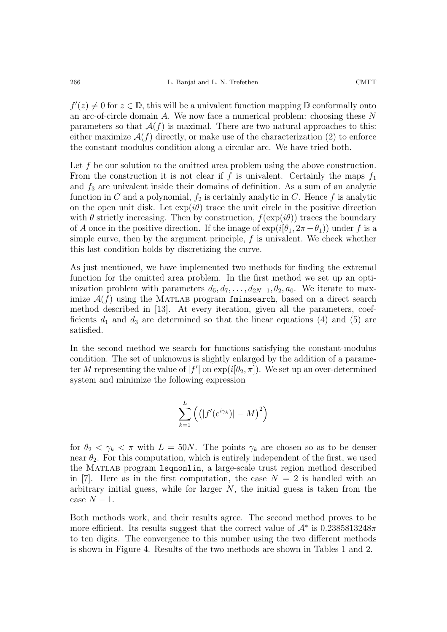$f'(z) \neq 0$  for  $z \in \mathbb{D}$ , this will be a univalent function mapping  $\mathbb{D}$  conformally onto an arc-of-circle domain A. We now face a numerical problem: choosing these N parameters so that  $A(f)$  is maximal. There are two natural approaches to this: either maximize  $\mathcal{A}(f)$  directly, or make use of the characterization (2) to enforce the constant modulus condition along a circular arc. We have tried both.

Let f be our solution to the omitted area problem using the above construction. From the construction it is not clear if f is univalent. Certainly the maps  $f_1$ and  $f_3$  are univalent inside their domains of definition. As a sum of an analytic function in C and a polynomial,  $f_2$  is certainly analytic in C. Hence f is analytic on the open unit disk. Let  $\exp(i\theta)$  trace the unit circle in the positive direction with  $\theta$  strictly increasing. Then by construction,  $f(\exp(i\theta))$  traces the boundary of A once in the positive direction. If the image of  $\exp(i[\theta_1, 2\pi - \theta_1))$  under f is a simple curve, then by the argument principle,  $f$  is univalent. We check whether this last condition holds by discretizing the curve.

As just mentioned, we have implemented two methods for finding the extremal function for the omitted area problem. In the first method we set up an optimization problem with parameters  $d_5, d_7, \ldots, d_{2N-1}, \theta_2, a_0$ . We iterate to maximize  $\mathcal{A}(f)$  using the MATLAB program fminsearch, based on a direct search method described in [13]. At every iteration, given all the parameters, coefficients  $d_1$  and  $d_3$  are determined so that the linear equations (4) and (5) are satisfied.

In the second method we search for functions satisfying the constant-modulus condition. The set of unknowns is slightly enlarged by the addition of a parameter M representing the value of  $|f'|$  on  $\exp(i[\theta_2, \pi])$ . We set up an over-determined system and minimize the following expression

$$
\sum_{k=1}^{L} \left( \left( |f'(e^{i\gamma_k})| - M \right)^2 \right)
$$

for  $\theta_2 < \gamma_k < \pi$  with  $L = 50N$ . The points  $\gamma_k$  are chosen so as to be denser near  $\theta_2$ . For this computation, which is entirely independent of the first, we used the Matlab program lsqnonlin, a large-scale trust region method described in [7]. Here as in the first computation, the case  $N = 2$  is handled with an arbitrary initial guess, while for larger  $N$ , the initial guess is taken from the case  $N-1$ .

Both methods work, and their results agree. The second method proves to be more efficient. Its results suggest that the correct value of  $\mathcal{A}^*$  is 0.2385813248 $\pi$ to ten digits. The convergence to this number using the two different methods is shown in Figure 4. Results of the two methods are shown in Tables 1 and 2.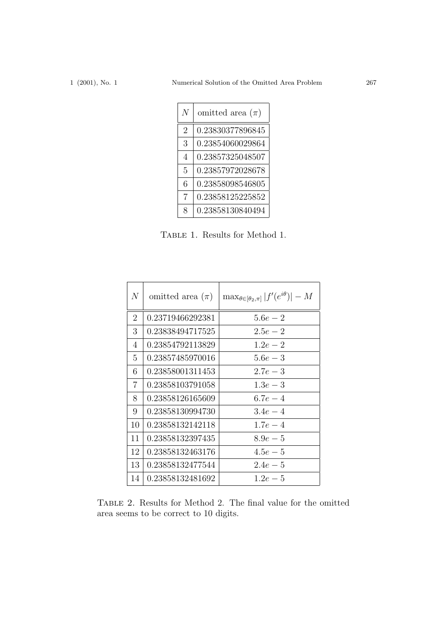| $\overline{N}$ | omitted area $(\pi)$ |
|----------------|----------------------|
| $\mathfrak{D}$ | 0.23830377896845     |
| 3              | 0.23854060029864     |
| 4              | 0.23857325048507     |
| 5              | 0.23857972028678     |
| 6              | 0.23858098546805     |
| 7              | 0.23858125225852     |
| 8              | 0.23858130840494     |

Table 1. Results for Method 1.

| N              | omitted area $(\pi)$ | $\max_{\theta \in [\theta_2, \pi]}  f'(e^{i\theta})  - M$ |
|----------------|----------------------|-----------------------------------------------------------|
| $\overline{2}$ | 0.23719466292381     | $5.6e - 2$                                                |
| 3              | 0.23838494717525     | $2.5e-2$                                                  |
| 4              | 0.23854792113829     | $1.2e - 2$                                                |
| 5              | 0.23857485970016     | $5.6e - 3$                                                |
| 6              | 0.23858001311453     | $2.7e - 3$                                                |
| $\overline{7}$ | 0.23858103791058     | $1.3e - 3$                                                |
| 8              | 0.23858126165609     | $6.7e-4$                                                  |
| 9              | 0.23858130994730     | $3.4e - 4$                                                |
| 10             | 0.23858132142118     | $1.7e-4$                                                  |
| 11             | 0.23858132397435     | $8.9e-5$                                                  |
| 12             | 0.23858132463176     | $4.5e-5$                                                  |
| 13             | 0.23858132477544     | $2.4e-5$                                                  |
| 14             | 0.23858132481692     | $1.2e-5$                                                  |

Table 2. Results for Method 2. The final value for the omitted area seems to be correct to 10 digits.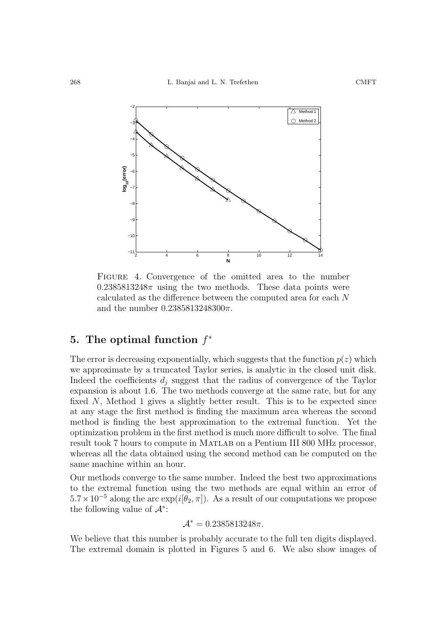

FIGURE 4. Convergence of the omitted area to the number  $0.2385813248\pi$  using the two methods. These data points were calculated as the difference between the computed area for each N and the number  $0.2385813248300\pi$ .

# 5. The optimal function  $f^*$

The error is decreasing exponentially, which suggests that the function  $p(z)$  which we approximate by a truncated Taylor series, is analytic in the closed unit disk. Indeed the coefficients  $d_i$  suggest that the radius of convergence of the Taylor expansion is about 1.6. The two methods converge at the same rate, but for any fixed N, Method 1 gives a slightly better result. This is to be expected since at any stage the first method is finding the maximum area whereas the second method is finding the best approximation to the extremal function. Yet the optimization problem in the first method is much more difficult to solve. The final result took 7 hours to compute in Matlab on a Pentium III 800 MHz processor, whereas all the data obtained using the second method can be computed on the same machine within an hour.

Our methods converge to the same number. Indeed the best two approximations to the extremal function using the two methods are equal within an error of  $5.7 \times 10^{-5}$  along the arc exp( $i[\theta_2, \pi]$ ). As a result of our computations we propose the following value of  $\mathcal{A}^*$ :

$$
\mathcal{A}^* = 0.2385813248\pi.
$$

We believe that this number is probably accurate to the full ten digits displayed. The extremal domain is plotted in Figures 5 and 6. We also show images of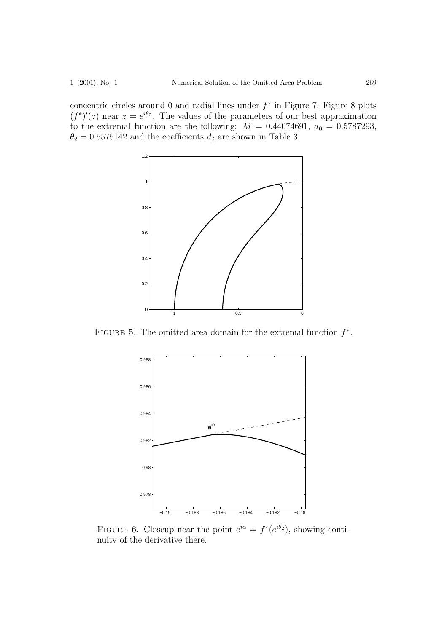concentric circles around 0 and radial lines under  $f^*$  in Figure 7. Figure 8 plots  $(f^*)'(z)$  near  $z = e^{i\theta_2}$ . The values of the parameters of our best approximation to the extremal function are the following:  $M = 0.44074691$ ,  $a_0 = 0.5787293$ ,  $\theta_2=0.5575142$  and the coefficients  $d_j$  are shown in Table 3.



FIGURE 5. The omitted area domain for the extremal function  $f^*$ .



FIGURE 6. Closeup near the point  $e^{i\alpha} = f^*(e^{i\theta_2})$ , showing continuity of the derivative there.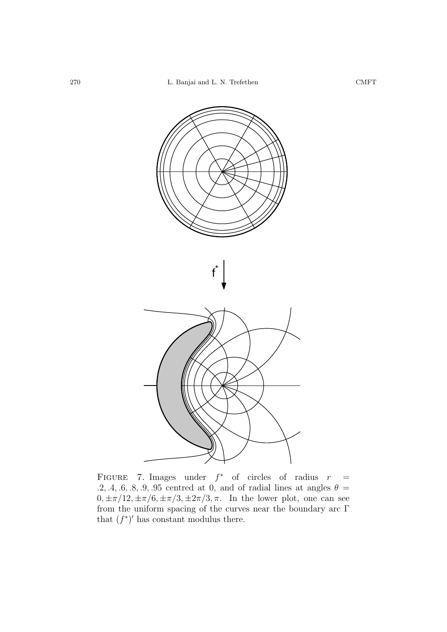

FIGURE 7. Images under  $f^*$  of circles of radius  $r =$ .2, .4, .6, .8, .9, .95 centred at 0, and of radial lines at angles  $\theta =$  $0, \pm \pi/12, \pm \pi/6, \pm \pi/3, \pm 2\pi/3, \pi$ . In the lower plot, one can see from the uniform spacing of the curves near the boundary arc  $\Gamma$ that  $(f^*)'$  has constant modulus there.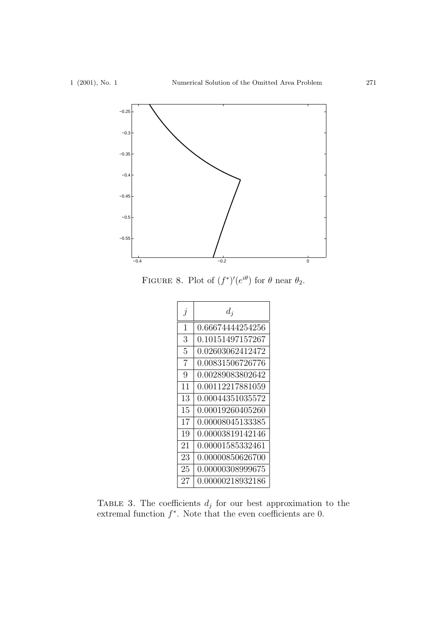

FIGURE 8. Plot of  $(f^*)'(e^{i\theta})$  for  $\theta$  near  $\theta_2$ .



TABLE 3. The coefficients  $d_j$  for our best approximation to the extremal function  $f^*$ . Note that the even coefficients are 0.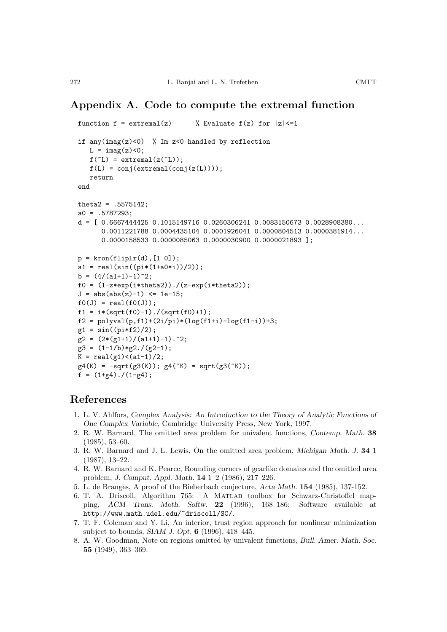## Appendix A. Code to compute the extremal function

```
function f = \text{extremal}(z) % Evaluate f(z) for |z| \leq 1if any(imag(z)<0) % Im z<0 handled by reflection
   L = \text{imag}(z) < 0;f('L) = extremal(z('L));f(L) = conj(extremal(conj(z(L))));
   return
end
theta2 = .5575142;
a0 = .5787293:
d = [ 0.6667444425 0.1015149716 0.0260306241 0.0083150673 0.0028908380...
      0.0011221788 0.0004435104 0.0001926041 0.0000804513 0.0000381914...
      0.0000158533 0.0000085063 0.0000030900 0.0000021893 ];
p = kron(fliplr(d), [1 0]);a1 = real(sin((pi*(1+a0*i))/2));b = (4/(a1+1)-1)^2;
f0 = (1-z*exp(i*theta2))./(z-exp(i*theta2));J = abs(abs(z)-1) \leq 1e-15;f0(J) = real(f0(J));f1 = i*(sqrt(f0)-1)./(sqrt(f0)+1);
f2 = polyval(p, f1) + (2i/pi) * (log(f1+i) - log(f1-i)) + 3;g1 = sin((pi*f2)/2);g2 = (2*(g1+1)/(a1+1)-1).<sup>2</sup>;
g3 = (1-1/b)*g2./(g2-1);K = \text{real}(g1) < (a1-1)/2;g4(K) = -sqrt(g3(K)); g4(^{K}) = sqrt(g3(^{K}));f = (1 + g4)./(1-g4);
```
### References

- 1. L. V. Ahlfors, Complex Analysis: An Introduction to the Theory of Analytic Functions of One Complex Variable, Cambridge University Press, New York, 1997.
- 2. R. W. Barnard, The omitted area problem for univalent functions, Contemp. Math. 38 (1985), 53–60.
- 3. R. W. Barnard and J. L. Lewis, On the omitted area problem, Michigan Math. J. 34 1 (1987), 13–22.
- 4. R. W. Barnard and K. Pearce, Rounding corners of gearlike domains and the omitted area problem, J. Comput. Appl. Math. 14 1–2 (1986), 217–226.
- 5. L. de Branges, A proof of the Bieberbach conjecture, Acta Math. 154 (1985), 137-152.
- 6. T. A. Driscoll, Algorithm 765: A Matlab toolbox for Schwarz-Christoffel mapping, ACM Trans. Math. Softw. 22 (1996), 168–186; Software available at http://www.math.udel.edu/~driscoll/SC/.
- 7. T. F. Coleman and Y. Li, An interior, trust region approach for nonlinear minimization subject to bounds, SIAM J. Opt. 6 (1996), 418–445.
- 8. A. W. Goodman, Note on regions omitted by univalent functions, Bull. Amer. Math. Soc. 55 (1949), 363–369.